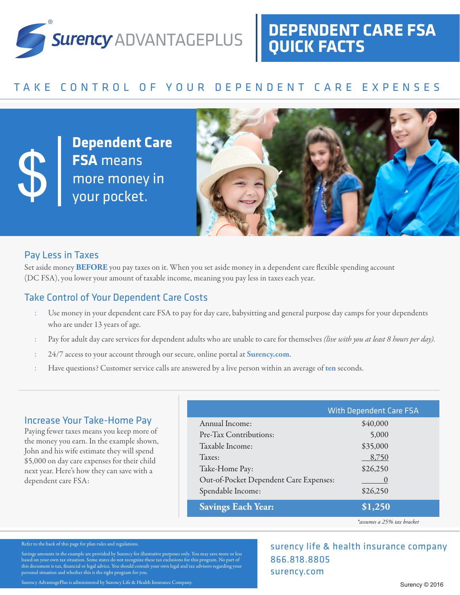

# **DEPENDENT CARE FSA QUICK FACTS**

# TAKE CONTROL OF YOUR DEPENDENT CARE EXPENSES

**Dependent Care FSA** means more money in<br>
your pocket.



### Pay Less in Taxes

Set aside money **BEFORE** you pay taxes on it. When you set aside money in a dependent care flexible spending account (DC FSA), you lower your amount of taxable income, meaning you pay less in taxes each year.

# Take Control of Your Dependent Care Costs

- : Use money in your dependent care FSA to pay for day care, babysitting and general purpose day camps for your dependents who are under 13 years of age.
- : Pay for adult day care services for dependent adults who are unable to care for themselves *(live with you at least 8 hours per day).*
- : 24/7 access to your account through our secure, online portal at **Surency.com**.
- : Have questions? Customer service calls are answered by a live person within an average of **ten** seconds.

### Increase Your Take-Home Pay

Paying fewer taxes means you keep more of the money you earn. In the example shown, John and his wife estimate they will spend \$5,000 on day care expenses for their child next year. Here's how they can save with a dependent care FSA:

|                                        | <b>With Dependent Care FSA</b> |
|----------------------------------------|--------------------------------|
| Annual Income:                         | \$40,000                       |
| Pre-Tax Contributions:                 | 5,000                          |
| Taxable Income:                        | \$35,000                       |
| Taxes:                                 | 8,750                          |
| Take-Home Pay:                         | \$26,250                       |
| Out-of-Pocket Dependent Care Expenses: |                                |
| Spendable Income:                      | \$26,250                       |
| <b>Savings Each Year:</b>              | \$1,250                        |

866.818.8805 surency.com

*\*assumes a 25% tax bracket*

surency life & health insurance company

#### Refer to the back of this page for plan rules and regulations.

Savings amounts in the example are provided by Surency for illustrative purposes only. You may save more or less based on your own tax situation. Some states do not recognize these tax exclusions for this program. No part of this document is tax, financial or legal advice. You should consult your own legal and tax advisors regarding your personal situation and whether this is the right program for you.